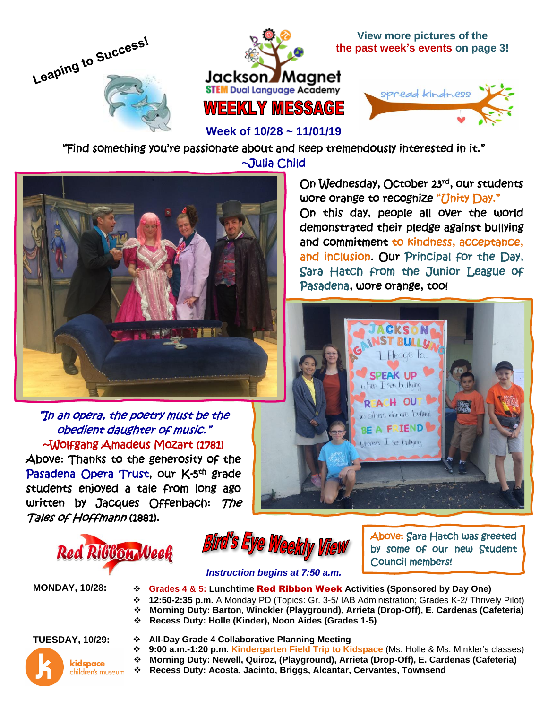



**View more pictures of the the past week's events on page 3!**

On Wednesday, October 23rd, our students

On this day, people all over the world demonstrated their pledge against bullying and commitment to kindness, acceptance, and inclusion. Our Principal for the Day, Sara Hatch from the Junior League of

> **CKSON INST BULLU F** Pledge To..

SPEAK UP when I see bullying REACH OUT to others who are bullined BE A FRIEND werever I see bullying

wore orange to recognize "Unity Day."

Pasadena, wore orange, too!



**Week of 10/28 ~ 11/01/19**

"Find something you're passionate about and keep tremendously interested in it." ~Julia Child



## "In an opera, the poetry must be the obedient daughter of music." ~Wolfgang Amadeus Mozart (1781)

Above: Thanks to the generosity of the Pasadena Opera Trust, our K-5<sup>th</sup> grade students enjoyed a tale from long ago written by Jacques Offenbach: The Tales of Hoffmann (1881).





Above: Sara Hatch was greeted by some of our new Student Council members!

### *Instruction begins at 7:50 a.m.*

- **MONDAY, 10/28:** ❖ **Grades 4 & 5: Lunchtime** Red Ribbon Week **Activities (Sponsored by Day One)**
	- ❖ **12:50-2:35 p.m.** A Monday PD (Topics: Gr. 3-5/ IAB Administration; Grades K-2/ Thrively Pilot)
	- ❖ **Morning Duty: Barton, Winckler (Playground), Arrieta (Drop-Off), E. Cardenas (Cafeteria)**

❖ **Recess Duty: Holle (Kinder), Noon Aides (Grades 1-5)**

- kidspace children's museum
- **TUESDAY, 10/29:** ❖ **All-Day Grade 4 Collaborative Planning Meeting** 
	- ❖ **9:00 a.m.-1:20 p.m**. **Kindergarten Field Trip to Kidspace** (Ms. Holle & Ms. Minkler's classes)
	- ❖ **Morning Duty: Newell, Quiroz, (Playground), Arrieta (Drop-Off), E. Cardenas (Cafeteria)**
	- ❖ **Recess Duty: Acosta, Jacinto, Briggs, Alcantar, Cervantes, Townsend**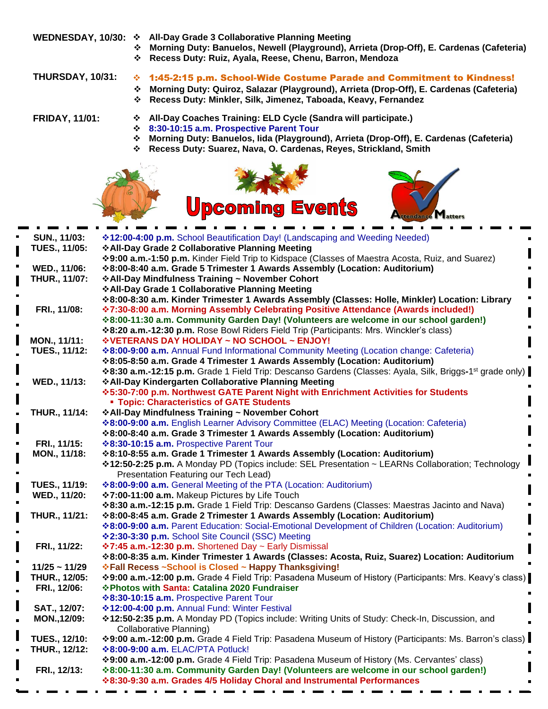- **WEDNESDAY, 10/30:** ❖ **All-Day Grade 3 Collaborative Planning Meeting** 
	- ❖ **Morning Duty: Banuelos, Newell (Playground), Arrieta (Drop-Off), E. Cardenas (Cafeteria)**
	- ❖ **Recess Duty: Ruiz, Ayala, Reese, Chenu, Barron, Mendoza**

- **THURSDAY, 10/31:** ❖ 1:45-2:15 p.m. School-Wide Costume Parade and Commitment to Kindness!
	- ❖ **Morning Duty: Quiroz, Salazar (Playground), Arrieta (Drop-Off), E. Cardenas (Cafeteria)**
	- ❖ **Recess Duty: Minkler, Silk, Jimenez, Taboada, Keavy, Fernandez**

**FRIDAY, 11/01:** ❖ **All-Day Coaches Training: ELD Cycle (Sandra will participate.)**

**Upcoming Events** 

- ❖ **8:30-10:15 a.m. Prospective Parent Tour**
- ❖ **Morning Duty: Banuelos, Iida (Playground), Arrieta (Drop-Off), E. Cardenas (Cafeteria)**

tendance Matters

❖ **Recess Duty: Suarez, Nava, O. Cardenas, Reyes, Strickland, Smith**



| SUN., 11/03:         | <b>*12:00-4:00 p.m.</b> School Beautification Day! (Landscaping and Weeding Needed)                                  |
|----------------------|----------------------------------------------------------------------------------------------------------------------|
| <b>TUES., 11/05:</b> | ❖ All-Day Grade 2 Collaborative Planning Meeting                                                                     |
|                      | *9:00 a.m.-1:50 p.m. Kinder Field Trip to Kidspace (Classes of Maestra Acosta, Ruiz, and Suarez)                     |
| WED., 11/06:         | ❖8:00-8:40 a.m. Grade 5 Trimester 1 Awards Assembly (Location: Auditorium)                                           |
| THUR., 11/07:        | ❖ All-Day Mindfulness Training ~ November Cohort                                                                     |
|                      | ❖ All-Day Grade 1 Collaborative Planning Meeting                                                                     |
|                      | ❖8:00-8:30 a.m. Kinder Trimester 1 Awards Assembly (Classes: Holle, Minkler) Location: Library                       |
| FRI., 11/08:         | <b>*7:30-8:00 a.m. Morning Assembly Celebrating Positive Attendance (Awards included!)</b>                           |
|                      | *8:00-11:30 a.m. Community Garden Day! (Volunteers are welcome in our school garden!)                                |
|                      | *8:20 a.m.-12:30 p.m. Rose Bowl Riders Field Trip (Participants: Mrs. Winckler's class)                              |
| MON., 11/11:         | ❖ VETERANS DAY HOLIDAY ~ NO SCHOOL ~ ENJOY!                                                                          |
| <b>TUES., 11/12:</b> | <b>*8:00-9:00 a.m.</b> Annual Fund Informational Community Meeting (Location change: Cafeteria)                      |
|                      | ❖8:05-8:50 a.m. Grade 4 Trimester 1 Awards Assembly (Location: Auditorium)                                           |
|                      | *8:30 a.m.-12:15 p.m. Grade 1 Field Trip: Descanso Gardens (Classes: Ayala, Silk, Briggs-1 <sup>st</sup> grade only) |
| WED., 11/13:         | ❖ All-Day Kindergarten Collaborative Planning Meeting                                                                |
|                      | ❖5:30-7:00 p.m. Northwest GATE Parent Night with Enrichment Activities for Students                                  |
|                      | <b>- Topic: Characteristics of GATE Students</b>                                                                     |
| <b>THUR., 11/14:</b> | ❖ All-Day Mindfulness Training ~ November Cohort                                                                     |
|                      | <b>*8:00-9:00 a.m.</b> English Learner Advisory Committee (ELAC) Meeting (Location: Cafeteria)                       |
|                      | ❖8:00-8:40 a.m. Grade 3 Trimester 1 Awards Assembly (Location: Auditorium)                                           |
| FRI., 11/15:         | <b>*8:30-10:15 a.m. Prospective Parent Tour</b>                                                                      |
| MON., 11/18:         | *8:10-8:55 a.m. Grade 1 Trimester 1 Awards Assembly (Location: Auditorium)                                           |
|                      | <b>*12:50-2:25 p.m.</b> A Monday PD (Topics include: SEL Presentation ~ LEARNs Collaboration; Technology             |
|                      | Presentation Featuring our Tech Lead)                                                                                |
| <b>TUES., 11/19:</b> | <b>*8:00-9:00 a.m.</b> General Meeting of the PTA (Location: Auditorium)                                             |
| WED., 11/20:         | ❖7:00-11:00 a.m. Makeup Pictures by Life Touch                                                                       |
|                      | *8:30 a.m.-12:15 p.m. Grade 1 Field Trip: Descanso Gardens (Classes: Maestras Jacinto and Nava)                      |
| THUR., 11/21:        | ❖8:00-8:45 a.m. Grade 2 Trimester 1 Awards Assembly (Location: Auditorium)                                           |
|                      | <b>*8:00-9:00 a.m.</b> Parent Education: Social-Emotional Development of Children (Location: Auditorium)             |
|                      | ❖ 2:30-3:30 p.m. School Site Council (SSC) Meeting                                                                   |
| FRI., 11/22:         | <b>*7:45 a.m.-12:30 p.m.</b> Shortened Day ~ Early Dismissal                                                         |
|                      | *8:00-8:35 a.m. Kinder Trimester 1 Awards (Classes: Acosta, Ruiz, Suarez) Location: Auditorium                       |
| $11/25 - 11/29$      | <b>Ve Fall Recess ~School is Closed ~ Happy Thanksgiving!</b>                                                        |
| THUR., 12/05:        | *9:00 a.m.-12:00 p.m. Grade 4 Field Trip: Pasadena Museum of History (Participants: Mrs. Keavy's class)              |
| FRI., 12/06:         | ❖ Photos with Santa: Catalina 2020 Fundraiser                                                                        |
|                      | <b><math>\div</math>8:30-10:15 a.m.</b> Prospective Parent Tour                                                      |
| SAT., 12/07:         | ❖12:00-4:00 p.m. Annual Fund: Winter Festival                                                                        |
| MON., 12/09:         | <b>*12:50-2:35 p.m.</b> A Monday PD (Topics include: Writing Units of Study: Check-In, Discussion, and               |
|                      | <b>Collaborative Planning)</b>                                                                                       |
| <b>TUES., 12/10:</b> | *9:00 a.m.-12:00 p.m. Grade 4 Field Trip: Pasadena Museum of History (Participants: Ms. Barron's class)              |
| THUR., 12/12:        | <b>*8:00-9:00 a.m. ELAC/PTA Potluck!</b>                                                                             |
|                      | *9:00 a.m.-12:00 p.m. Grade 4 Field Trip: Pasadena Museum of History (Ms. Cervantes' class)                          |
| FRI., 12/13:         | *8:00-11:30 a.m. Community Garden Day! (Volunteers are welcome in our school garden!)                                |
|                      | <b>☆8:30-9:30 a.m. Grades 4/5 Holiday Choral and Instrumental Performances</b>                                       |